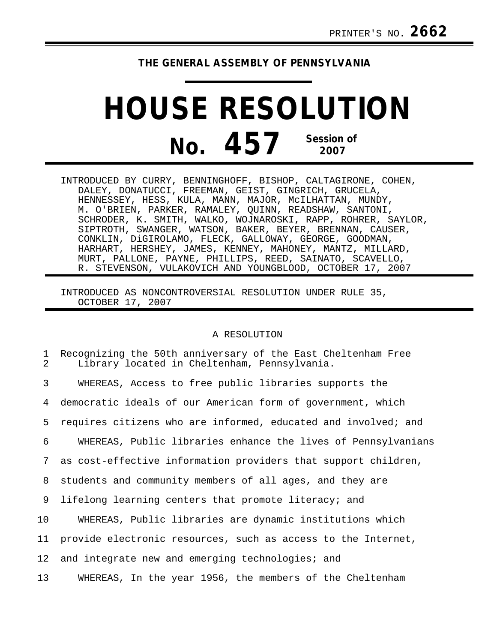## **THE GENERAL ASSEMBLY OF PENNSYLVANIA**

## **HOUSE RESOLUTION No. 457 Session of 2007**

INTRODUCED BY CURRY, BENNINGHOFF, BISHOP, CALTAGIRONE, COHEN, DALEY, DONATUCCI, FREEMAN, GEIST, GINGRICH, GRUCELA, HENNESSEY, HESS, KULA, MANN, MAJOR, McILHATTAN, MUNDY, M. O'BRIEN, PARKER, RAMALEY, QUINN, READSHAW, SANTONI, SCHRODER, K. SMITH, WALKO, WOJNAROSKI, RAPP, ROHRER, SAYLOR, SIPTROTH, SWANGER, WATSON, BAKER, BEYER, BRENNAN, CAUSER, CONKLIN, DiGIROLAMO, FLECK, GALLOWAY, GEORGE, GOODMAN, HARHART, HERSHEY, JAMES, KENNEY, MAHONEY, MANTZ, MILLARD, MURT, PALLONE, PAYNE, PHILLIPS, REED, SAINATO, SCAVELLO, R. STEVENSON, VULAKOVICH AND YOUNGBLOOD, OCTOBER 17, 2007

INTRODUCED AS NONCONTROVERSIAL RESOLUTION UNDER RULE 35, OCTOBER 17, 2007

## A RESOLUTION

| 1<br>2          | Recognizing the 50th anniversary of the East Cheltenham Free<br>Library located in Cheltenham, Pennsylvania. |
|-----------------|--------------------------------------------------------------------------------------------------------------|
| 3               | WHEREAS, Access to free public libraries supports the                                                        |
| 4               | democratic ideals of our American form of government, which                                                  |
| 5               | requires citizens who are informed, educated and involved; and                                               |
| 6               | WHEREAS, Public libraries enhance the lives of Pennsylvanians                                                |
| $7\phantom{.}$  | as cost-effective information providers that support children,                                               |
| 8               | students and community members of all ages, and they are                                                     |
| 9               | lifelong learning centers that promote literacy; and                                                         |
| 10 <sub>1</sub> | WHEREAS, Public libraries are dynamic institutions which                                                     |
| 11              | provide electronic resources, such as access to the Internet,                                                |
| 12              | and integrate new and emerging technologies; and                                                             |
| 13 <sup>°</sup> | WHEREAS, In the year 1956, the members of the Cheltenham                                                     |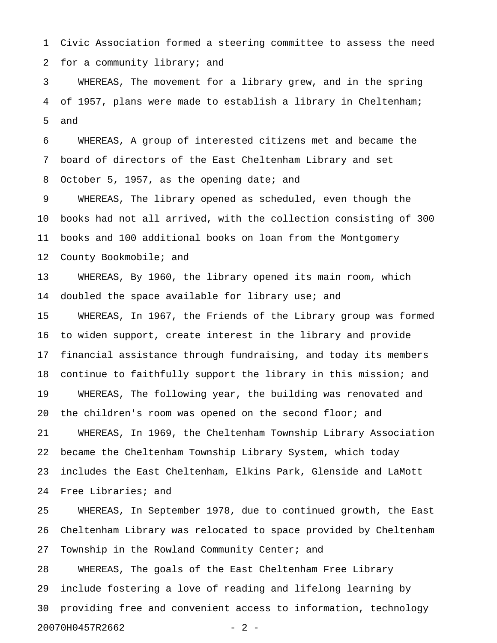1 Civic Association formed a steering committee to assess the need 2 for a community library; and

3 WHEREAS, The movement for a library grew, and in the spring 4 of 1957, plans were made to establish a library in Cheltenham; 5 and

6 WHEREAS, A group of interested citizens met and became the 7 board of directors of the East Cheltenham Library and set 8 October 5, 1957, as the opening date; and

9 WHEREAS, The library opened as scheduled, even though the 10 books had not all arrived, with the collection consisting of 300 11 books and 100 additional books on loan from the Montgomery 12 County Bookmobile; and

13 WHEREAS, By 1960, the library opened its main room, which 14 doubled the space available for library use; and

15 WHEREAS, In 1967, the Friends of the Library group was formed 16 to widen support, create interest in the library and provide 17 financial assistance through fundraising, and today its members 18 continue to faithfully support the library in this mission; and 19 WHEREAS, The following year, the building was renovated and 20 the children's room was opened on the second floor; and 21 WHEREAS, In 1969, the Cheltenham Township Library Association 22 became the Cheltenham Township Library System, which today 23 includes the East Cheltenham, Elkins Park, Glenside and LaMott 24 Free Libraries; and

25 WHEREAS, In September 1978, due to continued growth, the East 26 Cheltenham Library was relocated to space provided by Cheltenham 27 Township in the Rowland Community Center; and

28 WHEREAS, The goals of the East Cheltenham Free Library 29 include fostering a love of reading and lifelong learning by 30 providing free and convenient access to information, technology 20070H0457R2662 - 2 -